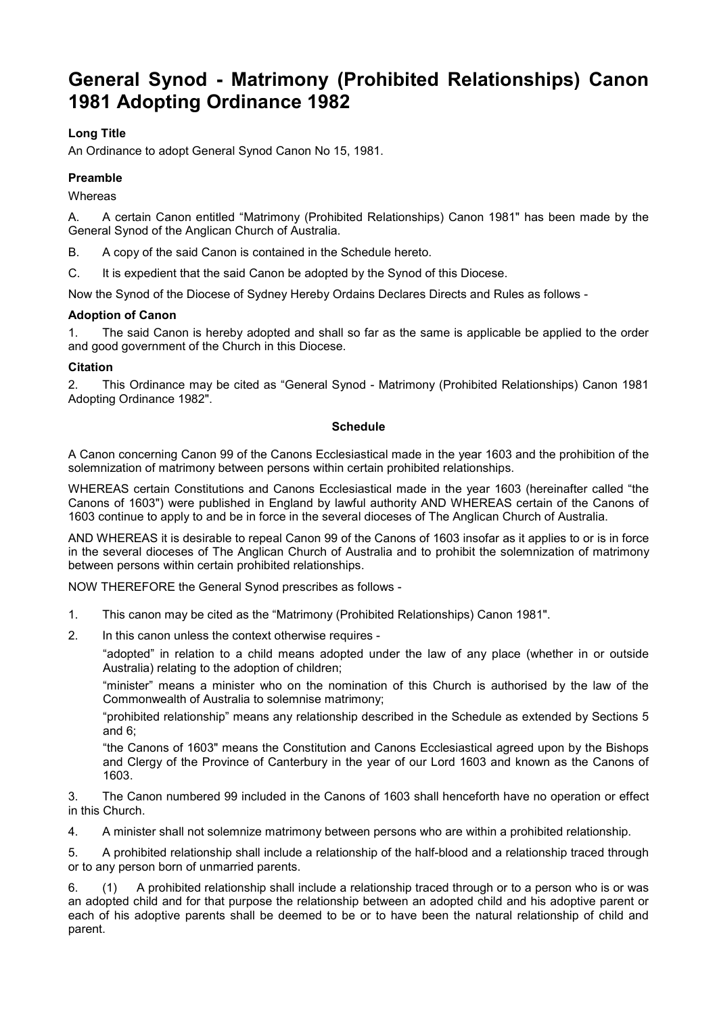# **General Synod - Matrimony (Prohibited Relationships) Canon 1981 Adopting Ordinance 1982**

## **Long Title**

An Ordinance to adopt General Synod Canon No 15, 1981.

## **Preamble**

**Whereas** 

A. A certain Canon entitled "Matrimony (Prohibited Relationships) Canon 1981" has been made by the General Synod of the Anglican Church of Australia.

B. A copy of the said Canon is contained in the Schedule hereto.

C. It is expedient that the said Canon be adopted by the Synod of this Diocese.

Now the Synod of the Diocese of Sydney Hereby Ordains Declares Directs and Rules as follows -

#### **Adoption of Canon**

1. The said Canon is hereby adopted and shall so far as the same is applicable be applied to the order and good government of the Church in this Diocese.

### **Citation**

2. This Ordinance may be cited as "General Synod - Matrimony (Prohibited Relationships) Canon 1981 Adopting Ordinance 1982".

#### **Schedule**

A Canon concerning Canon 99 of the Canons Ecclesiastical made in the year 1603 and the prohibition of the solemnization of matrimony between persons within certain prohibited relationships.

WHEREAS certain Constitutions and Canons Ecclesiastical made in the year 1603 (hereinafter called "the Canons of 1603") were published in England by lawful authority AND WHEREAS certain of the Canons of 1603 continue to apply to and be in force in the several dioceses of The Anglican Church of Australia.

AND WHEREAS it is desirable to repeal Canon 99 of the Canons of 1603 insofar as it applies to or is in force in the several dioceses of The Anglican Church of Australia and to prohibit the solemnization of matrimony between persons within certain prohibited relationships.

NOW THEREFORE the General Synod prescribes as follows -

- 1. This canon may be cited as the "Matrimony (Prohibited Relationships) Canon 1981".
- 2. In this canon unless the context otherwise requires -

"adopted" in relation to a child means adopted under the law of any place (whether in or outside Australia) relating to the adoption of children;

"minister" means a minister who on the nomination of this Church is authorised by the law of the Commonwealth of Australia to solemnise matrimony;

"prohibited relationship" means any relationship described in the Schedule as extended by Sections 5 and 6;

"the Canons of 1603" means the Constitution and Canons Ecclesiastical agreed upon by the Bishops and Clergy of the Province of Canterbury in the year of our Lord 1603 and known as the Canons of 1603.

3. The Canon numbered 99 included in the Canons of 1603 shall henceforth have no operation or effect in this Church.

4. A minister shall not solemnize matrimony between persons who are within a prohibited relationship.

5. A prohibited relationship shall include a relationship of the half-blood and a relationship traced through or to any person born of unmarried parents.

6. (1) A prohibited relationship shall include a relationship traced through or to a person who is or was an adopted child and for that purpose the relationship between an adopted child and his adoptive parent or each of his adoptive parents shall be deemed to be or to have been the natural relationship of child and parent.